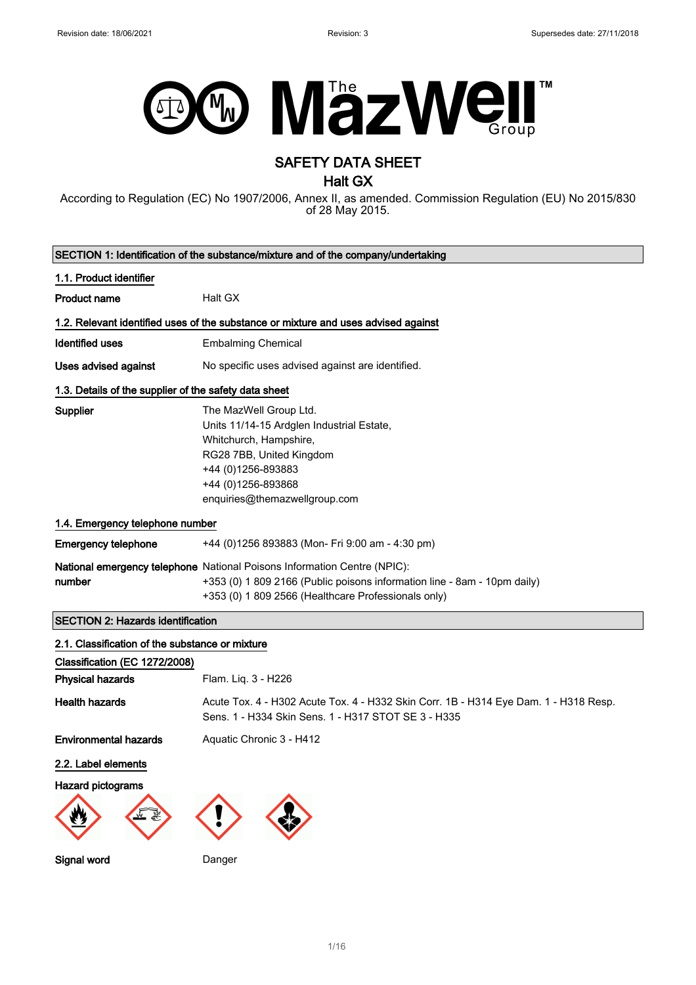

# SAFETY DATA SHEET

Halt GX

According to Regulation (EC) No 1907/2006, Annex II, as amended. Commission Regulation (EU) No 2015/830 of 28 May 2015.

| SECTION 1: Identification of the substance/mixture and of the company/undertaking  |                                                                                                                                                                                                             |  |
|------------------------------------------------------------------------------------|-------------------------------------------------------------------------------------------------------------------------------------------------------------------------------------------------------------|--|
| 1.1. Product identifier                                                            |                                                                                                                                                                                                             |  |
| <b>Product name</b>                                                                | Halt GX                                                                                                                                                                                                     |  |
| 1.2. Relevant identified uses of the substance or mixture and uses advised against |                                                                                                                                                                                                             |  |
| <b>Identified uses</b>                                                             | <b>Embalming Chemical</b>                                                                                                                                                                                   |  |
| <b>Uses advised against</b>                                                        | No specific uses advised against are identified.                                                                                                                                                            |  |
| 1.3. Details of the supplier of the safety data sheet                              |                                                                                                                                                                                                             |  |
| Supplier                                                                           | The MazWell Group Ltd.<br>Units 11/14-15 Ardglen Industrial Estate,<br>Whitchurch, Hampshire,<br>RG28 7BB, United Kingdom<br>+44 (0) 1256-893883<br>+44 (0) 1256-893868<br>enquiries@themazwellgroup.com    |  |
| 1.4. Emergency telephone number                                                    |                                                                                                                                                                                                             |  |
| <b>Emergency telephone</b>                                                         | +44 (0)1256 893883 (Mon- Fri 9:00 am - 4:30 pm)                                                                                                                                                             |  |
| number                                                                             | National emergency telephone National Poisons Information Centre (NPIC):<br>+353 (0) 1 809 2166 (Public poisons information line - 8am - 10pm daily)<br>+353 (0) 1 809 2566 (Healthcare Professionals only) |  |
| <b>SECTION 2: Hazards identification</b>                                           |                                                                                                                                                                                                             |  |
| 2.1. Classification of the substance or mixture                                    |                                                                                                                                                                                                             |  |
| Classification (EC 1272/2008)<br><b>Physical hazards</b>                           | Flam. Liq. 3 - H226                                                                                                                                                                                         |  |
| <b>Health hazards</b>                                                              | Acute Tox. 4 - H302 Acute Tox. 4 - H332 Skin Corr. 1B - H314 Eye Dam. 1 - H318 Resp.<br>Sens. 1 - H334 Skin Sens. 1 - H317 STOT SE 3 - H335                                                                 |  |
| <b>Environmental hazards</b>                                                       | Aquatic Chronic 3 - H412                                                                                                                                                                                    |  |
| 2.2. Label elements                                                                |                                                                                                                                                                                                             |  |
| Hazard pictograms                                                                  |                                                                                                                                                                                                             |  |
| Signal word                                                                        | Danger                                                                                                                                                                                                      |  |

1/ 16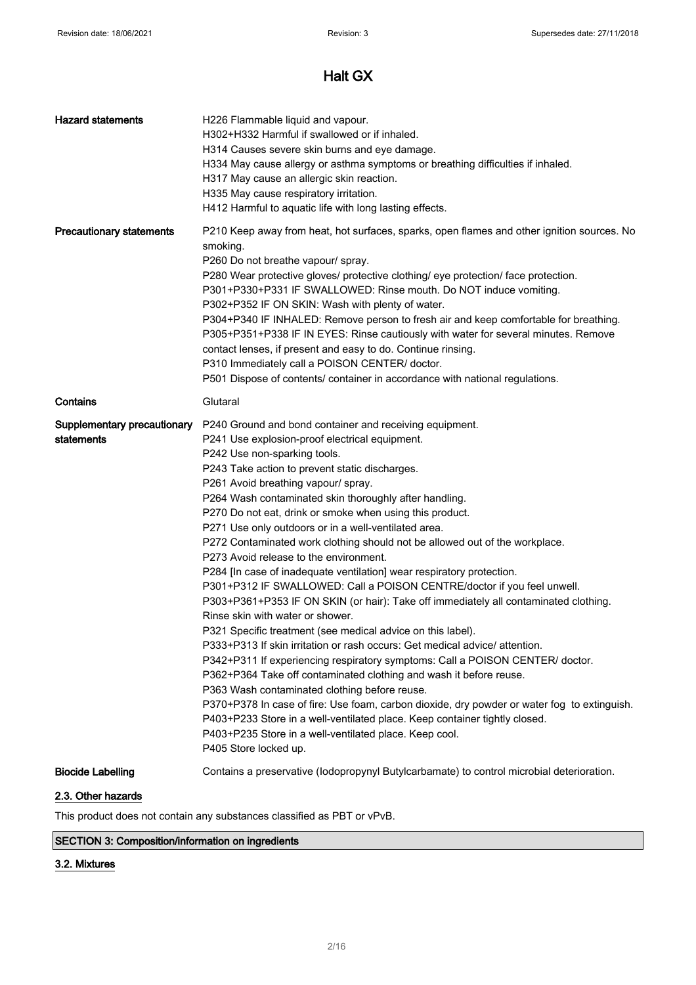| <b>Hazard statements</b>                  | H226 Flammable liquid and vapour.<br>H302+H332 Harmful if swallowed or if inhaled.<br>H314 Causes severe skin burns and eye damage.<br>H334 May cause allergy or asthma symptoms or breathing difficulties if inhaled.<br>H317 May cause an allergic skin reaction.<br>H335 May cause respiratory irritation.<br>H412 Harmful to aquatic life with long lasting effects.                                                                                                                                                                                                                                                                                                                                                                                                                                                                                                                                                                                                                                                                                                                                                                                                                                                                                                                                                                                                                                                                        |
|-------------------------------------------|-------------------------------------------------------------------------------------------------------------------------------------------------------------------------------------------------------------------------------------------------------------------------------------------------------------------------------------------------------------------------------------------------------------------------------------------------------------------------------------------------------------------------------------------------------------------------------------------------------------------------------------------------------------------------------------------------------------------------------------------------------------------------------------------------------------------------------------------------------------------------------------------------------------------------------------------------------------------------------------------------------------------------------------------------------------------------------------------------------------------------------------------------------------------------------------------------------------------------------------------------------------------------------------------------------------------------------------------------------------------------------------------------------------------------------------------------|
| <b>Precautionary statements</b>           | P210 Keep away from heat, hot surfaces, sparks, open flames and other ignition sources. No<br>smoking.<br>P260 Do not breathe vapour/ spray.<br>P280 Wear protective gloves/ protective clothing/ eye protection/ face protection.<br>P301+P330+P331 IF SWALLOWED: Rinse mouth. Do NOT induce vomiting.<br>P302+P352 IF ON SKIN: Wash with plenty of water.<br>P304+P340 IF INHALED: Remove person to fresh air and keep comfortable for breathing.<br>P305+P351+P338 IF IN EYES: Rinse cautiously with water for several minutes. Remove<br>contact lenses, if present and easy to do. Continue rinsing.<br>P310 Immediately call a POISON CENTER/ doctor.<br>P501 Dispose of contents/ container in accordance with national regulations.                                                                                                                                                                                                                                                                                                                                                                                                                                                                                                                                                                                                                                                                                                     |
| Contains                                  | Glutaral                                                                                                                                                                                                                                                                                                                                                                                                                                                                                                                                                                                                                                                                                                                                                                                                                                                                                                                                                                                                                                                                                                                                                                                                                                                                                                                                                                                                                                        |
| Supplementary precautionary<br>statements | P240 Ground and bond container and receiving equipment.<br>P241 Use explosion-proof electrical equipment.<br>P242 Use non-sparking tools.<br>P243 Take action to prevent static discharges.<br>P261 Avoid breathing vapour/ spray.<br>P264 Wash contaminated skin thoroughly after handling.<br>P270 Do not eat, drink or smoke when using this product.<br>P271 Use only outdoors or in a well-ventilated area.<br>P272 Contaminated work clothing should not be allowed out of the workplace.<br>P273 Avoid release to the environment.<br>P284 [In case of inadequate ventilation] wear respiratory protection.<br>P301+P312 IF SWALLOWED: Call a POISON CENTRE/doctor if you feel unwell.<br>P303+P361+P353 IF ON SKIN (or hair): Take off immediately all contaminated clothing.<br>Rinse skin with water or shower.<br>P321 Specific treatment (see medical advice on this label).<br>P333+P313 If skin irritation or rash occurs: Get medical advice/ attention.<br>P342+P311 If experiencing respiratory symptoms: Call a POISON CENTER/ doctor.<br>P362+P364 Take off contaminated clothing and wash it before reuse.<br>P363 Wash contaminated clothing before reuse.<br>P370+P378 In case of fire: Use foam, carbon dioxide, dry powder or water fog to extinguish.<br>P403+P233 Store in a well-ventilated place. Keep container tightly closed.<br>P403+P235 Store in a well-ventilated place. Keep cool.<br>P405 Store locked up. |
| <b>Biocide Labelling</b>                  | Contains a preservative (lodopropynyl Butylcarbamate) to control microbial deterioration.                                                                                                                                                                                                                                                                                                                                                                                                                                                                                                                                                                                                                                                                                                                                                                                                                                                                                                                                                                                                                                                                                                                                                                                                                                                                                                                                                       |
| 2.3. Other hazards                        |                                                                                                                                                                                                                                                                                                                                                                                                                                                                                                                                                                                                                                                                                                                                                                                                                                                                                                                                                                                                                                                                                                                                                                                                                                                                                                                                                                                                                                                 |

This product does not contain any substances classified as PBT or vPvB.

## SECTION 3: Composition/information on ingredients

## 3.2. Mixtures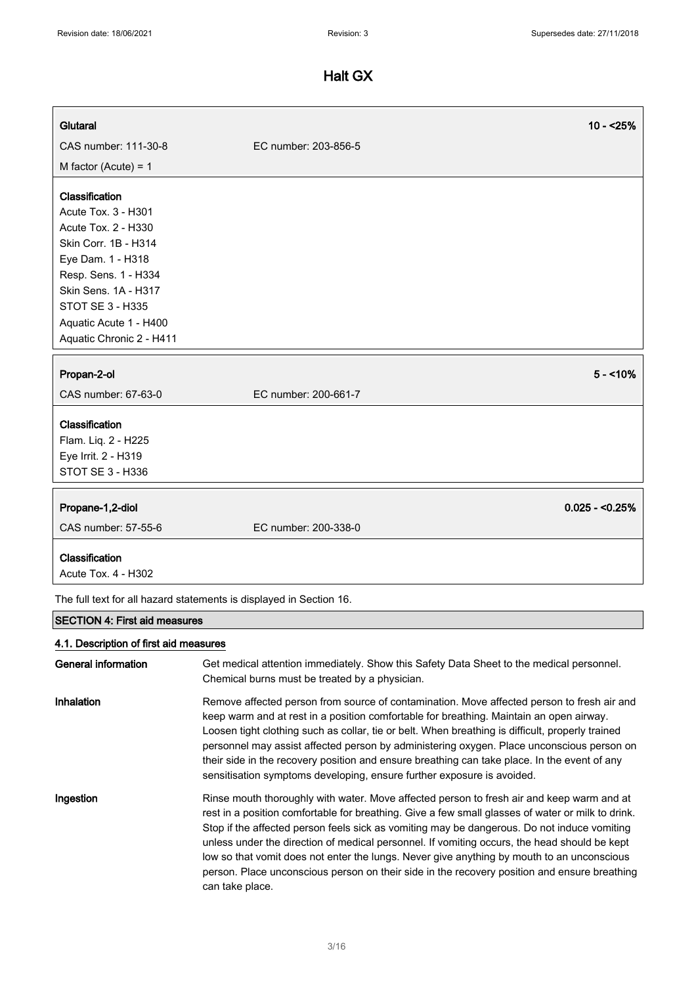| Glutaral                                                                                                                                                                                                                                   | $10 - 25%$                                                                                                                                                                                                                                                                                                                                                                                                                                                                                                                                                       |
|--------------------------------------------------------------------------------------------------------------------------------------------------------------------------------------------------------------------------------------------|------------------------------------------------------------------------------------------------------------------------------------------------------------------------------------------------------------------------------------------------------------------------------------------------------------------------------------------------------------------------------------------------------------------------------------------------------------------------------------------------------------------------------------------------------------------|
| CAS number: 111-30-8                                                                                                                                                                                                                       | EC number: 203-856-5                                                                                                                                                                                                                                                                                                                                                                                                                                                                                                                                             |
| M factor (Acute) = $1$                                                                                                                                                                                                                     |                                                                                                                                                                                                                                                                                                                                                                                                                                                                                                                                                                  |
| Classification<br>Acute Tox. 3 - H301<br>Acute Tox. 2 - H330<br>Skin Corr. 1B - H314<br>Eye Dam. 1 - H318<br>Resp. Sens. 1 - H334<br>Skin Sens. 1A - H317<br><b>STOT SE 3 - H335</b><br>Aquatic Acute 1 - H400<br>Aquatic Chronic 2 - H411 |                                                                                                                                                                                                                                                                                                                                                                                                                                                                                                                                                                  |
| Propan-2-ol<br>CAS number: 67-63-0                                                                                                                                                                                                         | $5 - 10\%$<br>EC number: 200-661-7                                                                                                                                                                                                                                                                                                                                                                                                                                                                                                                               |
|                                                                                                                                                                                                                                            |                                                                                                                                                                                                                                                                                                                                                                                                                                                                                                                                                                  |
| Classification                                                                                                                                                                                                                             |                                                                                                                                                                                                                                                                                                                                                                                                                                                                                                                                                                  |
| Flam. Liq. 2 - H225                                                                                                                                                                                                                        |                                                                                                                                                                                                                                                                                                                                                                                                                                                                                                                                                                  |
| Eye Irrit. 2 - H319<br>STOT SE 3 - H336                                                                                                                                                                                                    |                                                                                                                                                                                                                                                                                                                                                                                                                                                                                                                                                                  |
|                                                                                                                                                                                                                                            |                                                                                                                                                                                                                                                                                                                                                                                                                                                                                                                                                                  |
| Propane-1,2-diol                                                                                                                                                                                                                           | $0.025 - 0.25%$                                                                                                                                                                                                                                                                                                                                                                                                                                                                                                                                                  |
| CAS number: 57-55-6                                                                                                                                                                                                                        | EC number: 200-338-0                                                                                                                                                                                                                                                                                                                                                                                                                                                                                                                                             |
| Classification<br>Acute Tox. 4 - H302                                                                                                                                                                                                      |                                                                                                                                                                                                                                                                                                                                                                                                                                                                                                                                                                  |
|                                                                                                                                                                                                                                            | The full text for all hazard statements is displayed in Section 16.                                                                                                                                                                                                                                                                                                                                                                                                                                                                                              |
| <b>SECTION 4: First aid measures</b>                                                                                                                                                                                                       |                                                                                                                                                                                                                                                                                                                                                                                                                                                                                                                                                                  |
| 4.1. Description of first aid measures                                                                                                                                                                                                     |                                                                                                                                                                                                                                                                                                                                                                                                                                                                                                                                                                  |
| <b>General information</b>                                                                                                                                                                                                                 | Get medical attention immediately. Show this Safety Data Sheet to the medical personnel.<br>Chemical burns must be treated by a physician.                                                                                                                                                                                                                                                                                                                                                                                                                       |
| Inhalation                                                                                                                                                                                                                                 | Remove affected person from source of contamination. Move affected person to fresh air and<br>keep warm and at rest in a position comfortable for breathing. Maintain an open airway.<br>Loosen tight clothing such as collar, tie or belt. When breathing is difficult, properly trained<br>personnel may assist affected person by administering oxygen. Place unconscious person on<br>their side in the recovery position and ensure breathing can take place. In the event of any<br>sensitisation symptoms developing, ensure further exposure is avoided. |

Ingestion **Rinse mouth thoroughly with water. Move affected person to fresh air and keep warm and at** rest in a position comfortable for breathing. Give a few small glasses of water or milk to drink. Stop if the affected person feels sick as vomiting may be dangerous. Do not induce vomiting unless under the direction of medical personnel. If vomiting occurs, the head should be kept low so that vomit does not enter the lungs. Never give anything by mouth to an unconscious person. Place unconscious person on their side in the recovery position and ensure breathing can take place.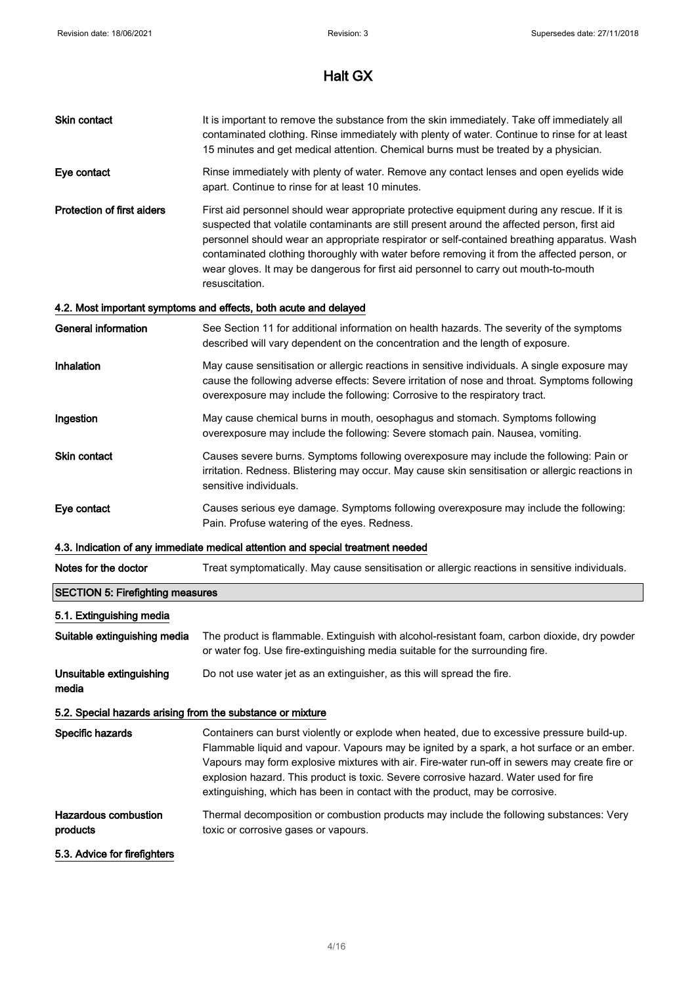| Skin contact                                               | It is important to remove the substance from the skin immediately. Take off immediately all<br>contaminated clothing. Rinse immediately with plenty of water. Continue to rinse for at least<br>15 minutes and get medical attention. Chemical burns must be treated by a physician.                                                                                                                                                                                                                 |
|------------------------------------------------------------|------------------------------------------------------------------------------------------------------------------------------------------------------------------------------------------------------------------------------------------------------------------------------------------------------------------------------------------------------------------------------------------------------------------------------------------------------------------------------------------------------|
| Eye contact                                                | Rinse immediately with plenty of water. Remove any contact lenses and open eyelids wide<br>apart. Continue to rinse for at least 10 minutes.                                                                                                                                                                                                                                                                                                                                                         |
| <b>Protection of first aiders</b>                          | First aid personnel should wear appropriate protective equipment during any rescue. If it is<br>suspected that volatile contaminants are still present around the affected person, first aid<br>personnel should wear an appropriate respirator or self-contained breathing apparatus. Wash<br>contaminated clothing thoroughly with water before removing it from the affected person, or<br>wear gloves. It may be dangerous for first aid personnel to carry out mouth-to-mouth<br>resuscitation. |
|                                                            | 4.2. Most important symptoms and effects, both acute and delayed                                                                                                                                                                                                                                                                                                                                                                                                                                     |
| <b>General information</b>                                 | See Section 11 for additional information on health hazards. The severity of the symptoms<br>described will vary dependent on the concentration and the length of exposure.                                                                                                                                                                                                                                                                                                                          |
| <b>Inhalation</b>                                          | May cause sensitisation or allergic reactions in sensitive individuals. A single exposure may<br>cause the following adverse effects: Severe irritation of nose and throat. Symptoms following<br>overexposure may include the following: Corrosive to the respiratory tract.                                                                                                                                                                                                                        |
| Ingestion                                                  | May cause chemical burns in mouth, oesophagus and stomach. Symptoms following<br>overexposure may include the following: Severe stomach pain. Nausea, vomiting.                                                                                                                                                                                                                                                                                                                                      |
| <b>Skin contact</b>                                        | Causes severe burns. Symptoms following overexposure may include the following: Pain or<br>irritation. Redness. Blistering may occur. May cause skin sensitisation or allergic reactions in<br>sensitive individuals.                                                                                                                                                                                                                                                                                |
| Eye contact                                                | Causes serious eye damage. Symptoms following overexposure may include the following:<br>Pain. Profuse watering of the eyes. Redness.                                                                                                                                                                                                                                                                                                                                                                |
|                                                            | 4.3. Indication of any immediate medical attention and special treatment needed                                                                                                                                                                                                                                                                                                                                                                                                                      |
| Notes for the doctor                                       | Treat symptomatically. May cause sensitisation or allergic reactions in sensitive individuals.                                                                                                                                                                                                                                                                                                                                                                                                       |
| <b>SECTION 5: Firefighting measures</b>                    |                                                                                                                                                                                                                                                                                                                                                                                                                                                                                                      |
| 5.1. Extinguishing media                                   |                                                                                                                                                                                                                                                                                                                                                                                                                                                                                                      |
| Suitable extinguishing media                               | The product is flammable. Extinguish with alcohol-resistant foam, carbon dioxide, dry powder<br>or water fog. Use fire-extinguishing media suitable for the surrounding fire.                                                                                                                                                                                                                                                                                                                        |
| Unsuitable extinguishing<br>media                          | Do not use water jet as an extinguisher, as this will spread the fire.                                                                                                                                                                                                                                                                                                                                                                                                                               |
| 5.2. Special hazards arising from the substance or mixture |                                                                                                                                                                                                                                                                                                                                                                                                                                                                                                      |
| Specific hazards                                           | Containers can burst violently or explode when heated, due to excessive pressure build-up.<br>Flammable liquid and vapour. Vapours may be ignited by a spark, a hot surface or an ember.<br>Vapours may form explosive mixtures with air. Fire-water run-off in sewers may create fire or<br>explosion hazard. This product is toxic. Severe corrosive hazard. Water used for fire<br>extinguishing, which has been in contact with the product, may be corrosive.                                   |
| <b>Hazardous combustion</b><br>products                    | Thermal decomposition or combustion products may include the following substances: Very<br>toxic or corrosive gases or vapours.                                                                                                                                                                                                                                                                                                                                                                      |
| 5.3. Advice for firefighters                               |                                                                                                                                                                                                                                                                                                                                                                                                                                                                                                      |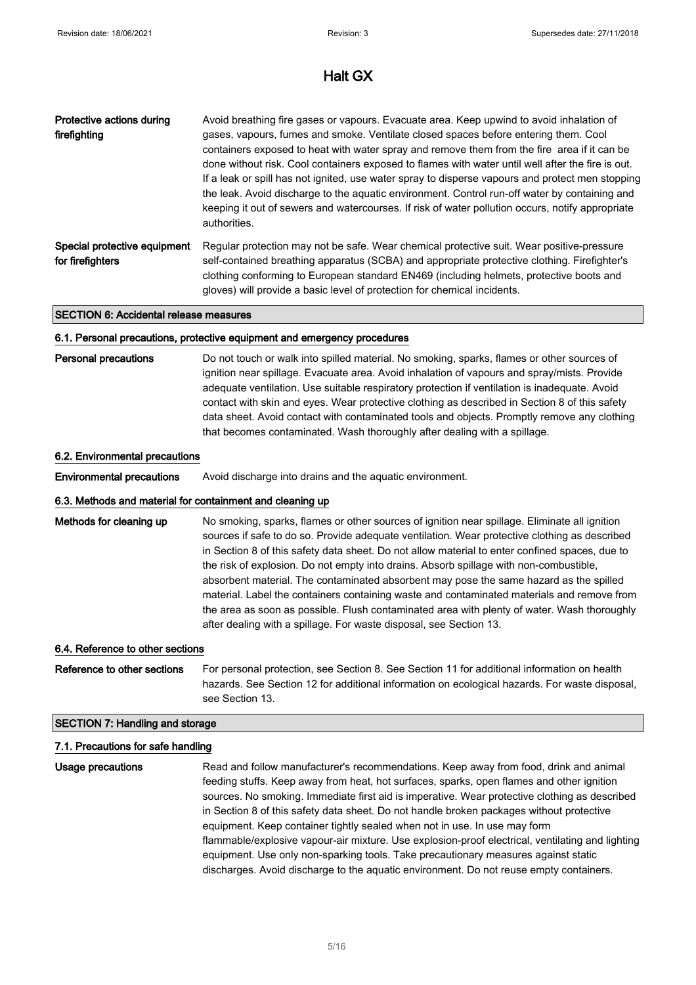| Protective actions during<br>firefighting        | Avoid breathing fire gases or vapours. Evacuate area. Keep upwind to avoid inhalation of<br>gases, vapours, fumes and smoke. Ventilate closed spaces before entering them. Cool<br>containers exposed to heat with water spray and remove them from the fire area if it can be<br>done without risk. Cool containers exposed to flames with water until well after the fire is out.<br>If a leak or spill has not ignited, use water spray to disperse vapours and protect men stopping<br>the leak. Avoid discharge to the aquatic environment. Control run-off water by containing and<br>keeping it out of sewers and watercourses. If risk of water pollution occurs, notify appropriate<br>authorities. |
|--------------------------------------------------|--------------------------------------------------------------------------------------------------------------------------------------------------------------------------------------------------------------------------------------------------------------------------------------------------------------------------------------------------------------------------------------------------------------------------------------------------------------------------------------------------------------------------------------------------------------------------------------------------------------------------------------------------------------------------------------------------------------|
| Special protective equipment<br>for firefighters | Regular protection may not be safe. Wear chemical protective suit. Wear positive-pressure<br>self-contained breathing apparatus (SCBA) and appropriate protective clothing. Firefighter's<br>clothing conforming to European standard EN469 (including helmets, protective boots and<br>gloves) will provide a basic level of protection for chemical incidents.                                                                                                                                                                                                                                                                                                                                             |

### SECTION 6: Accidental release measures

### 6.1. Personal precautions, protective equipment and emergency procedures

Personal precautions Do not touch or walk into spilled material. No smoking, sparks, flames or other sources of ignition near spillage. Evacuate area. Avoid inhalation of vapours and spray/mists. Provide adequate ventilation. Use suitable respiratory protection if ventilation is inadequate. Avoid contact with skin and eyes. Wear protective clothing as described in Section 8 of this safety data sheet. Avoid contact with contaminated tools and objects. Promptly remove any clothing that becomes contaminated. Wash thoroughly after dealing with a spillage.

### 6.2. Environmental precautions

Environmental precautions Avoid discharge into drains and the aquatic environment.

### 6.3. Methods and material for containment and cleaning up

Methods for cleaning up No smoking, sparks, flames or other sources of ignition near spillage. Eliminate all ignition sources if safe to do so. Provide adequate ventilation. Wear protective clothing as described in Section 8 of this safety data sheet. Do not allow material to enter confined spaces, due to the risk of explosion. Do not empty into drains. Absorb spillage with non-combustible, absorbent material. The contaminated absorbent may pose the same hazard as the spilled material. Label the containers containing waste and contaminated materials and remove from the area as soon as possible. Flush contaminated area with plenty of water. Wash thoroughly after dealing with a spillage. For waste disposal, see Section 13.

### 6.4. Reference to other sections

Reference to other sections For personal protection, see Section 8. See Section 11 for additional information on health hazards. See Section 12 for additional information on ecological hazards. For waste disposal, see Section 13.

## SECTION 7: Handling and storage

## 7.1. Precautions for safe handling

Usage precautions **Read and follow manufacturer's recommendations**. Keep away from food, drink and animal feeding stuffs. Keep away from heat, hot surfaces, sparks, open flames and other ignition sources. No smoking. Immediate first aid is imperative. Wear protective clothing as described in Section 8 of this safety data sheet. Do not handle broken packages without protective equipment. Keep container tightly sealed when not in use. In use may form flammable/explosive vapour-air mixture. Use explosion-proof electrical, ventilating and lighting equipment. Use only non-sparking tools. Take precautionary measures against static discharges. Avoid discharge to the aquatic environment. Do not reuse empty containers.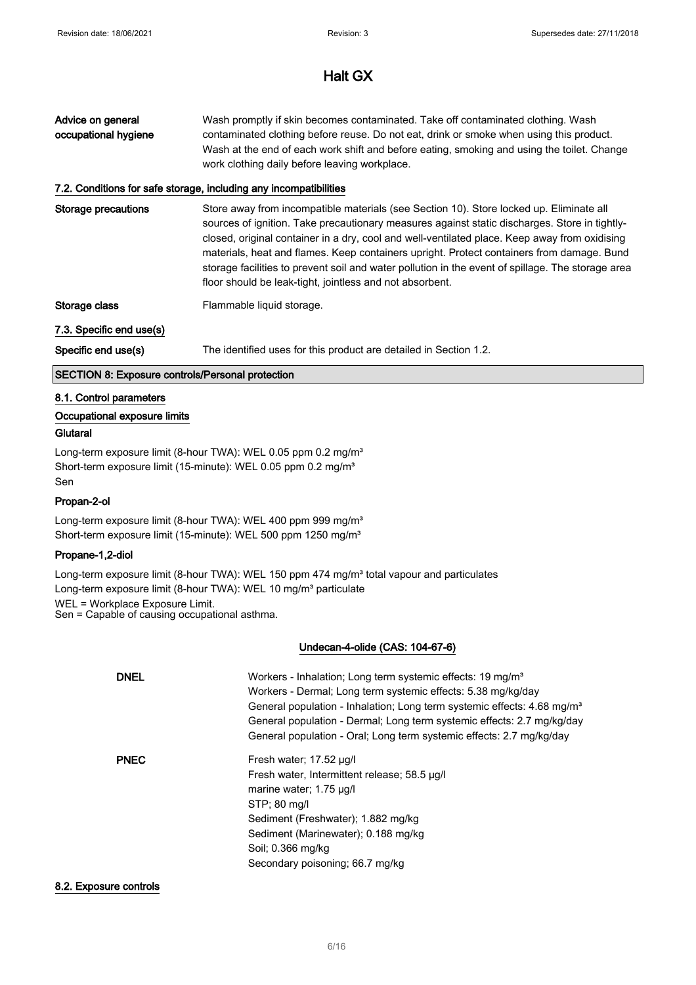| Advice on general<br>occupational hygiene               | Wash promptly if skin becomes contaminated. Take off contaminated clothing. Wash<br>contaminated clothing before reuse. Do not eat, drink or smoke when using this product.<br>Wash at the end of each work shift and before eating, smoking and using the toilet. Change<br>work clothing daily before leaving workplace.<br>7.2. Conditions for safe storage, including any incompatibilities                                                                                                                                                         |
|---------------------------------------------------------|---------------------------------------------------------------------------------------------------------------------------------------------------------------------------------------------------------------------------------------------------------------------------------------------------------------------------------------------------------------------------------------------------------------------------------------------------------------------------------------------------------------------------------------------------------|
| Storage precautions                                     | Store away from incompatible materials (see Section 10). Store locked up. Eliminate all<br>sources of ignition. Take precautionary measures against static discharges. Store in tightly-<br>closed, original container in a dry, cool and well-ventilated place. Keep away from oxidising<br>materials, heat and flames. Keep containers upright. Protect containers from damage. Bund<br>storage facilities to prevent soil and water pollution in the event of spillage. The storage area<br>floor should be leak-tight, jointless and not absorbent. |
| Storage class                                           | Flammable liquid storage.                                                                                                                                                                                                                                                                                                                                                                                                                                                                                                                               |
| 7.3. Specific end use(s)                                |                                                                                                                                                                                                                                                                                                                                                                                                                                                                                                                                                         |
| Specific end use(s)                                     | The identified uses for this product are detailed in Section 1.2.                                                                                                                                                                                                                                                                                                                                                                                                                                                                                       |
| <b>SECTION 8: Exposure controls/Personal protection</b> |                                                                                                                                                                                                                                                                                                                                                                                                                                                                                                                                                         |
| 8.1. Control parameters                                 |                                                                                                                                                                                                                                                                                                                                                                                                                                                                                                                                                         |
| Occupational exposure limits                            |                                                                                                                                                                                                                                                                                                                                                                                                                                                                                                                                                         |

## **Glutaral**

Long-term exposure limit (8-hour TWA): WEL 0.05 ppm 0.2 mg/m<sup>3</sup> Short-term exposure limit (15-minute): WEL 0.05 ppm 0.2 mg/m<sup>3</sup> Sen

## Propan-2-ol

Long-term exposure limit (8-hour TWA): WEL 400 ppm 999 mg/m<sup>3</sup> Short-term exposure limit (15-minute): WEL 500 ppm 1250 mg/m<sup>3</sup>

## Propane-1,2-diol

Long-term exposure limit (8-hour TWA): WEL 150 ppm 474 mg/m<sup>3</sup> total vapour and particulates Long-term exposure limit (8-hour TWA): WEL 10 mg/m<sup>3</sup> particulate WEL = Workplace Exposure Limit. Sen = Capable of causing occupational asthma.

## Undecan-4-olide (CAS: 104-67-6)

| <b>DNEL</b> | Workers - Inhalation; Long term systemic effects: 19 mg/m <sup>3</sup><br>Workers - Dermal; Long term systemic effects: 5.38 mg/kg/day<br>General population - Inhalation; Long term systemic effects: 4.68 mg/m <sup>3</sup><br>General population - Dermal; Long term systemic effects: 2.7 mg/kg/day<br>General population - Oral; Long term systemic effects: 2.7 mg/kg/day |
|-------------|---------------------------------------------------------------------------------------------------------------------------------------------------------------------------------------------------------------------------------------------------------------------------------------------------------------------------------------------------------------------------------|
| <b>PNEC</b> | Fresh water; 17.52 ug/l<br>Fresh water, Intermittent release; 58.5 µg/l<br>marine water; 1.75 µg/l<br>STP: 80 mg/l<br>Sediment (Freshwater); 1.882 mg/kg<br>Sediment (Marinewater); 0.188 mg/kg<br>Soil: 0.366 mg/kg<br>Secondary poisoning; 66.7 mg/kg                                                                                                                         |

### 8.2. Exposure controls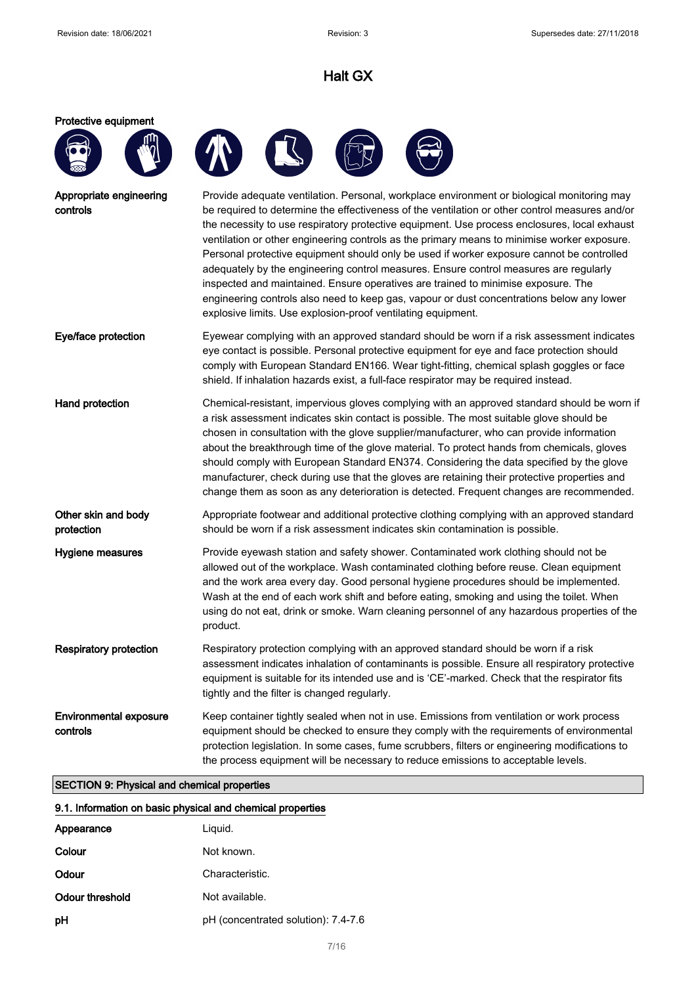### Protective equipment







| Appropriate engineering<br>controls | Provide adequate ventilation. Personal, workplace environment or biological monitoring may<br>be required to determine the effectiveness of the ventilation or other control measures and/or<br>the necessity to use respiratory protective equipment. Use process enclosures, local exhaust                                                                                                                                                                                                                                        |
|-------------------------------------|-------------------------------------------------------------------------------------------------------------------------------------------------------------------------------------------------------------------------------------------------------------------------------------------------------------------------------------------------------------------------------------------------------------------------------------------------------------------------------------------------------------------------------------|
|                                     | ventilation or other engineering controls as the primary means to minimise worker exposure.<br>Personal protective equipment should only be used if worker exposure cannot be controlled<br>adequately by the engineering control measures. Ensure control measures are regularly<br>inspected and maintained. Ensure operatives are trained to minimise exposure. The<br>engineering controls also need to keep gas, vapour or dust concentrations below any lower<br>explosive limits. Use explosion-proof ventilating equipment. |

- Eye/face protection Eyewear complying with an approved standard should be worn if a risk assessment indicates eye contact is possible. Personal protective equipment for eye and face protection should comply with European Standard EN166. Wear tight-fitting, chemical splash goggles or face shield. If inhalation hazards exist, a full-face respirator may be required instead.
- Hand protection **Chemical-resistant, impervious gloves complying with an approved standard should be worn if** a risk assessment indicates skin contact is possible. The most suitable glove should be chosen in consultation with the glove supplier/manufacturer, who can provide information about the breakthrough time of the glove material. To protect hands from chemicals, gloves should comply with European Standard EN374. Considering the data specified by the glove manufacturer, check during use that the gloves are retaining their protective properties and change them as soon as any deterioration is detected. Frequent changes are recommended. Other skin and body Appropriate footwear and additional protective clothing complying with an approved standard
- protection should be worn if a risk assessment indicates skin contamination is possible.
- Hygiene measures **Provide eyewash station and safety shower**. Contaminated work clothing should not be allowed out of the workplace. Wash contaminated clothing before reuse. Clean equipment and the work area every day. Good personal hygiene procedures should be implemented. Wash at the end of each work shift and before eating, smoking and using the toilet. When using do not eat, drink or smoke. Warn cleaning personnel of any hazardous properties of the product.
- Respiratory protection Respiratory protection complying with an approved standard should be worn if a risk assessment indicates inhalation of contaminants is possible. Ensure all respiratory protective equipment is suitable for its intended use and is 'CE'-marked. Check that the respirator fits tightly and the filter is changed regularly.
- Environmental exposure controls Keep container tightly sealed when not in use. Emissions from ventilation or work process equipment should be checked to ensure they comply with the requirements of environmental protection legislation. In some cases, fume scrubbers, filters or engineering modifications to the process equipment will be necessary to reduce emissions to acceptable levels.

### SECTION 9: Physical and chemical properties

### 9.1. Information on basic physical and chemical properties

| Appearance      | Liguid.                             |
|-----------------|-------------------------------------|
| Colour          | Not known.                          |
| Odour           | Characteristic.                     |
| Odour threshold | Not available.                      |
| pH              | pH (concentrated solution): 7.4-7.6 |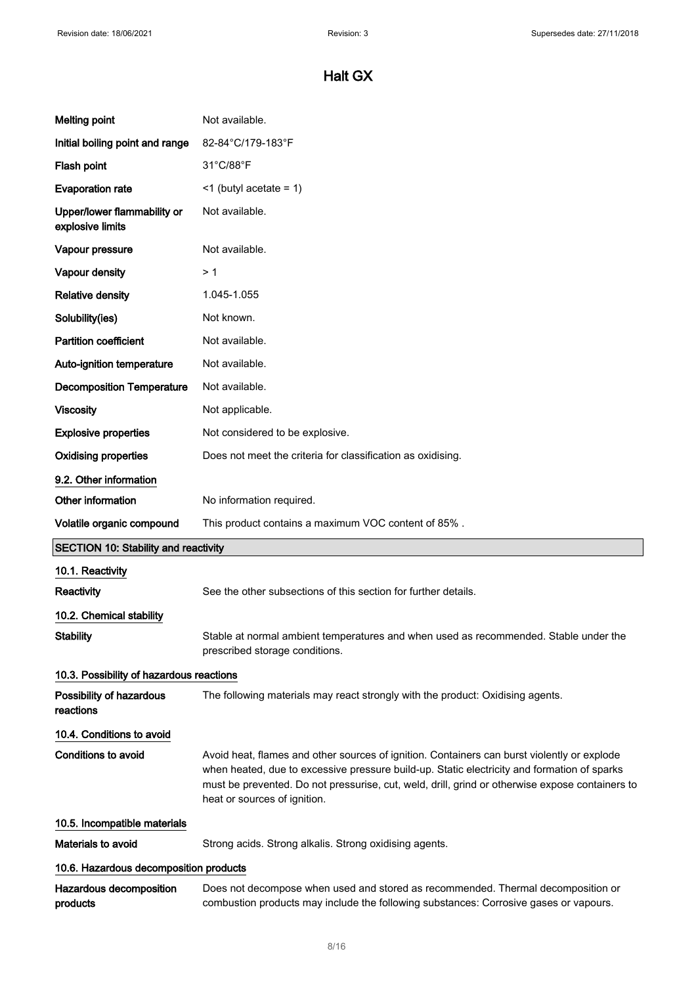| <b>Melting point</b>                            | Not available.                                                                                                                                                                                                                                                                                                                |
|-------------------------------------------------|-------------------------------------------------------------------------------------------------------------------------------------------------------------------------------------------------------------------------------------------------------------------------------------------------------------------------------|
| Initial boiling point and range                 | 82-84°C/179-183°F                                                                                                                                                                                                                                                                                                             |
| Flash point                                     | 31°C/88°F                                                                                                                                                                                                                                                                                                                     |
| <b>Evaporation rate</b>                         | $\leq$ 1 (butyl acetate = 1)                                                                                                                                                                                                                                                                                                  |
| Upper/lower flammability or<br>explosive limits | Not available.                                                                                                                                                                                                                                                                                                                |
| Vapour pressure                                 | Not available.                                                                                                                                                                                                                                                                                                                |
| Vapour density                                  | > 1                                                                                                                                                                                                                                                                                                                           |
| <b>Relative density</b>                         | 1.045-1.055                                                                                                                                                                                                                                                                                                                   |
| Solubility(ies)                                 | Not known.                                                                                                                                                                                                                                                                                                                    |
| <b>Partition coefficient</b>                    | Not available.                                                                                                                                                                                                                                                                                                                |
| Auto-ignition temperature                       | Not available.                                                                                                                                                                                                                                                                                                                |
| <b>Decomposition Temperature</b>                | Not available.                                                                                                                                                                                                                                                                                                                |
| <b>Viscosity</b>                                | Not applicable.                                                                                                                                                                                                                                                                                                               |
| <b>Explosive properties</b>                     | Not considered to be explosive.                                                                                                                                                                                                                                                                                               |
| <b>Oxidising properties</b>                     | Does not meet the criteria for classification as oxidising.                                                                                                                                                                                                                                                                   |
| 9.2. Other information                          |                                                                                                                                                                                                                                                                                                                               |
| Other information                               | No information required.                                                                                                                                                                                                                                                                                                      |
|                                                 |                                                                                                                                                                                                                                                                                                                               |
| Volatile organic compound                       | This product contains a maximum VOC content of 85%.                                                                                                                                                                                                                                                                           |
| <b>SECTION 10: Stability and reactivity</b>     |                                                                                                                                                                                                                                                                                                                               |
| 10.1. Reactivity                                |                                                                                                                                                                                                                                                                                                                               |
| <b>Reactivity</b>                               | See the other subsections of this section for further details.                                                                                                                                                                                                                                                                |
| 10.2. Chemical stability                        |                                                                                                                                                                                                                                                                                                                               |
| <b>Stability</b>                                | Stable at normal ambient temperatures and when used as recommended. Stable under the<br>prescribed storage conditions.                                                                                                                                                                                                        |
| 10.3. Possibility of hazardous reactions        |                                                                                                                                                                                                                                                                                                                               |
| Possibility of hazardous<br>reactions           | The following materials may react strongly with the product: Oxidising agents.                                                                                                                                                                                                                                                |
| 10.4. Conditions to avoid                       |                                                                                                                                                                                                                                                                                                                               |
| <b>Conditions to avoid</b>                      | Avoid heat, flames and other sources of ignition. Containers can burst violently or explode<br>when heated, due to excessive pressure build-up. Static electricity and formation of sparks<br>must be prevented. Do not pressurise, cut, weld, drill, grind or otherwise expose containers to<br>heat or sources of ignition. |
| 10.5. Incompatible materials                    |                                                                                                                                                                                                                                                                                                                               |
| Materials to avoid                              | Strong acids. Strong alkalis. Strong oxidising agents.                                                                                                                                                                                                                                                                        |
| 10.6. Hazardous decomposition products          |                                                                                                                                                                                                                                                                                                                               |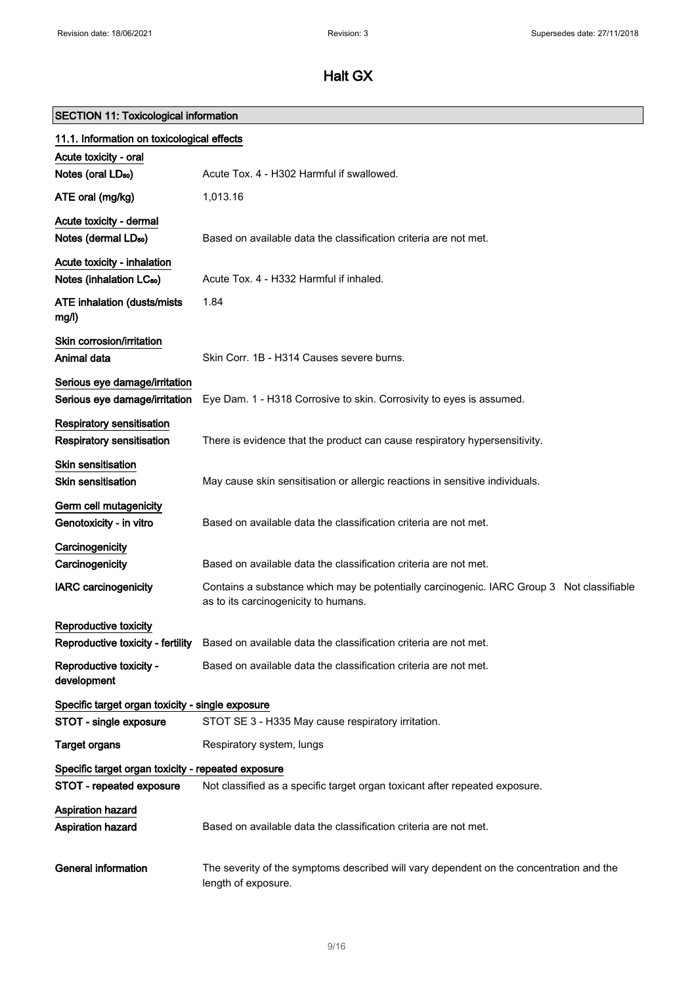# SECTION 11: Toxicological information

| 11.1. Information on toxicological effects                          |                                                                                                                                   |
|---------------------------------------------------------------------|-----------------------------------------------------------------------------------------------------------------------------------|
| Acute toxicity - oral<br>Notes (oral LD <sub>50</sub> )             | Acute Tox, 4 - H302 Harmful if swallowed.                                                                                         |
| ATE oral (mg/kg)                                                    | 1,013.16                                                                                                                          |
| Acute toxicity - dermal<br>Notes (dermal LD <sub>50</sub> )         | Based on available data the classification criteria are not met.                                                                  |
| Acute toxicity - inhalation<br>Notes (inhalation LC <sub>50</sub> ) | Acute Tox. 4 - H332 Harmful if inhaled.                                                                                           |
| <b>ATE inhalation (dusts/mists)</b><br>mg/l)                        | 1.84                                                                                                                              |
| Skin corrosion/irritation<br>Animal data                            | Skin Corr. 1B - H314 Causes severe burns.                                                                                         |
| Serious eye damage/irritation<br>Serious eye damage/irritation      | Eye Dam. 1 - H318 Corrosive to skin. Corrosivity to eyes is assumed.                                                              |
| Respiratory sensitisation<br>Respiratory sensitisation              | There is evidence that the product can cause respiratory hypersensitivity.                                                        |
| <b>Skin sensitisation</b><br>Skin sensitisation                     | May cause skin sensitisation or allergic reactions in sensitive individuals.                                                      |
| Germ cell mutagenicity<br>Genotoxicity - in vitro                   | Based on available data the classification criteria are not met.                                                                  |
| Carcinogenicity<br>Carcinogenicity                                  | Based on available data the classification criteria are not met.                                                                  |
| <b>IARC</b> carcinogenicity                                         | Contains a substance which may be potentially carcinogenic. IARC Group 3 Not classifiable<br>as to its carcinogenicity to humans. |
| Reproductive toxicity<br>Reproductive toxicity - fertility          | Based on available data the classification criteria are not met.                                                                  |
| Reproductive toxicity -<br>development                              | Based on available data the classification criteria are not met.                                                                  |
| Specific target organ toxicity - single exposure                    |                                                                                                                                   |
| STOT - single exposure                                              | STOT SE 3 - H335 May cause respiratory irritation.                                                                                |
| <b>Target organs</b>                                                | Respiratory system, lungs                                                                                                         |
| Specific target organ toxicity - repeated exposure                  |                                                                                                                                   |
| STOT - repeated exposure                                            | Not classified as a specific target organ toxicant after repeated exposure.                                                       |
| Aspiration hazard<br>Aspiration hazard                              | Based on available data the classification criteria are not met.                                                                  |
| <b>General information</b>                                          | The severity of the symptoms described will vary dependent on the concentration and the<br>length of exposure.                    |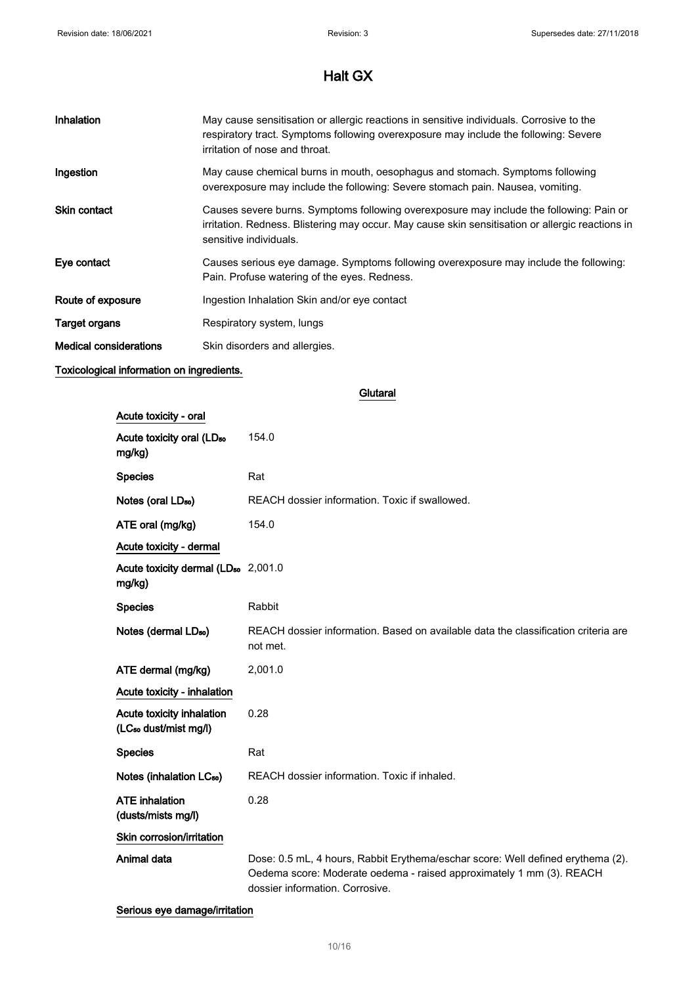| Inhalation                    | May cause sensitisation or allergic reactions in sensitive individuals. Corrosive to the<br>respiratory tract. Symptoms following overexposure may include the following: Severe<br>irritation of nose and throat.    |
|-------------------------------|-----------------------------------------------------------------------------------------------------------------------------------------------------------------------------------------------------------------------|
| Ingestion                     | May cause chemical burns in mouth, oesophagus and stomach. Symptoms following<br>overexposure may include the following: Severe stomach pain. Nausea, vomiting.                                                       |
| <b>Skin contact</b>           | Causes severe burns. Symptoms following overexposure may include the following: Pain or<br>irritation. Redness. Blistering may occur. May cause skin sensitisation or allergic reactions in<br>sensitive individuals. |
| Eye contact                   | Causes serious eye damage. Symptoms following overexposure may include the following:<br>Pain. Profuse watering of the eyes. Redness.                                                                                 |
| Route of exposure             | Ingestion Inhalation Skin and/or eye contact                                                                                                                                                                          |
| Target organs                 | Respiratory system, lungs                                                                                                                                                                                             |
| <b>Medical considerations</b> | Skin disorders and allergies.                                                                                                                                                                                         |

## Toxicological information on ingredients.

**Glutaral** 

| Acute toxicity - oral                                          |                                                                                                                                                                                            |
|----------------------------------------------------------------|--------------------------------------------------------------------------------------------------------------------------------------------------------------------------------------------|
| Acute toxicity oral (LD <sub>50</sub><br>mg/kg)                | 154.0                                                                                                                                                                                      |
| <b>Species</b>                                                 | Rat                                                                                                                                                                                        |
| Notes (oral LD <sub>50</sub> )                                 | REACH dossier information. Toxic if swallowed.                                                                                                                                             |
| ATE oral (mg/kg)                                               | 154.0                                                                                                                                                                                      |
| Acute toxicity - dermal                                        |                                                                                                                                                                                            |
| Acute toxicity dermal (LD <sub>50</sub> 2,001.0<br>mg/kg)      |                                                                                                                                                                                            |
| <b>Species</b>                                                 | Rabbit                                                                                                                                                                                     |
| Notes (dermal LD <sub>50</sub> )                               | REACH dossier information. Based on available data the classification criteria are<br>not met.                                                                                             |
| ATE dermal (mg/kg)                                             | 2,001.0                                                                                                                                                                                    |
| Acute toxicity - inhalation                                    |                                                                                                                                                                                            |
| Acute toxicity inhalation<br>(LC <sub>50</sub> dust/mist mg/l) | 0.28                                                                                                                                                                                       |
| <b>Species</b>                                                 | Rat                                                                                                                                                                                        |
| Notes (inhalation LC <sub>50</sub> )                           | REACH dossier information. Toxic if inhaled.                                                                                                                                               |
| <b>ATE</b> inhalation<br>(dusts/mists mg/l)                    | 0.28                                                                                                                                                                                       |
| Skin corrosion/irritation                                      |                                                                                                                                                                                            |
| Animal data                                                    | Dose: 0.5 mL, 4 hours, Rabbit Erythema/eschar score: Well defined erythema (2).<br>Oedema score: Moderate oedema - raised approximately 1 mm (3). REACH<br>dossier information. Corrosive. |

Serious eye damage/irritation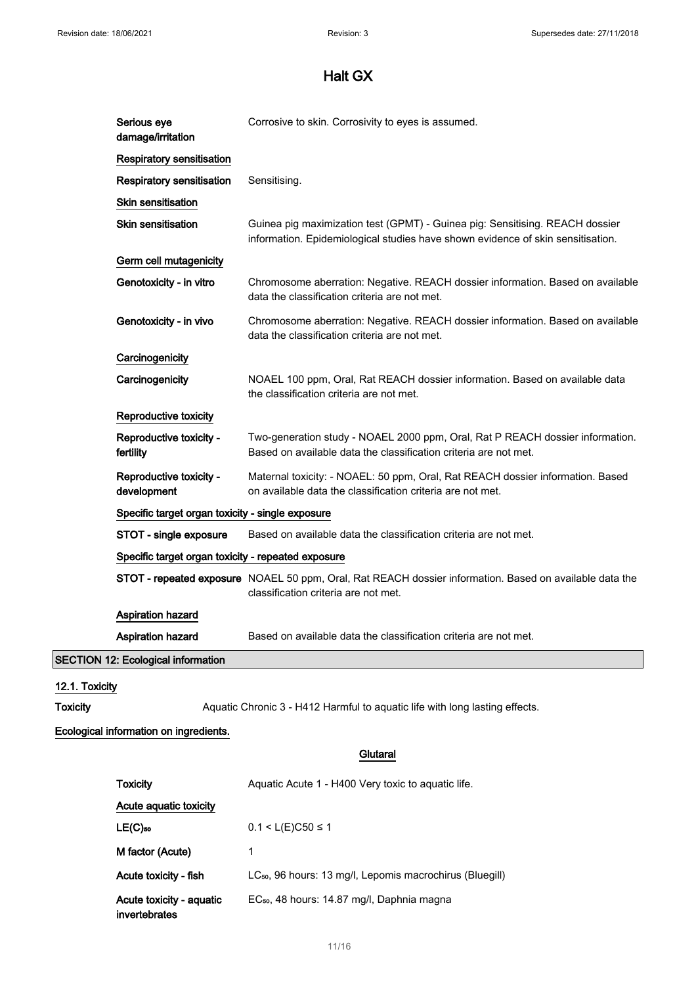| Serious eye<br>damage/irritation          | Corrosive to skin. Corrosivity to eyes is assumed.                                                                                                              |
|-------------------------------------------|-----------------------------------------------------------------------------------------------------------------------------------------------------------------|
| <b>Respiratory sensitisation</b>          |                                                                                                                                                                 |
| Respiratory sensitisation                 | Sensitising.                                                                                                                                                    |
| <b>Skin sensitisation</b>                 |                                                                                                                                                                 |
| Skin sensitisation                        | Guinea pig maximization test (GPMT) - Guinea pig: Sensitising. REACH dossier<br>information. Epidemiological studies have shown evidence of skin sensitisation. |
| Germ cell mutagenicity                    |                                                                                                                                                                 |
| Genotoxicity - in vitro                   | Chromosome aberration: Negative. REACH dossier information. Based on available<br>data the classification criteria are not met.                                 |
| Genotoxicity - in vivo                    | Chromosome aberration: Negative. REACH dossier information. Based on available<br>data the classification criteria are not met.                                 |
| Carcinogenicity                           |                                                                                                                                                                 |
| Carcinogenicity                           | NOAEL 100 ppm, Oral, Rat REACH dossier information. Based on available data<br>the classification criteria are not met.                                         |
| Reproductive toxicity                     |                                                                                                                                                                 |
| Reproductive toxicity -<br>fertility      | Two-generation study - NOAEL 2000 ppm, Oral, Rat P REACH dossier information.<br>Based on available data the classification criteria are not met.               |
| Reproductive toxicity -<br>development    | Maternal toxicity: - NOAEL: 50 ppm, Oral, Rat REACH dossier information. Based<br>on available data the classification criteria are not met.                    |
|                                           | Specific target organ toxicity - single exposure                                                                                                                |
| STOT - single exposure                    | Based on available data the classification criteria are not met.                                                                                                |
|                                           | Specific target organ toxicity - repeated exposure                                                                                                              |
|                                           | STOT - repeated exposure NOAEL 50 ppm, Oral, Rat REACH dossier information. Based on available data the<br>classification criteria are not met.                 |
| Aspiration hazard                         |                                                                                                                                                                 |
| Aspiration hazard                         | Based on available data the classification criteria are not met.                                                                                                |
| <b>SECTION 12: Ecological information</b> |                                                                                                                                                                 |
| 12.1. Toxicity                            |                                                                                                                                                                 |

SECTION

Toxicity **Aquatic Chronic 3 - H412 Harmful to aquatic life with long lasting effects.** 

## Ecological information on ingredients.

## **Glutaral**

| <b>Toxicity</b>                           | Aquatic Acute 1 - H400 Very toxic to aquatic life.                   |
|-------------------------------------------|----------------------------------------------------------------------|
| Acute aquatic toxicity                    |                                                                      |
| $LE(C)_{50}$                              | $0.1 < L(E)C50 \le 1$                                                |
| M factor (Acute)                          | 1                                                                    |
| Acute toxicity - fish                     | LC <sub>50</sub> , 96 hours: 13 mg/l, Lepomis macrochirus (Bluegill) |
| Acute toxicity - aguatic<br>invertebrates | EC <sub>50</sub> , 48 hours: 14.87 mg/l, Daphnia magna               |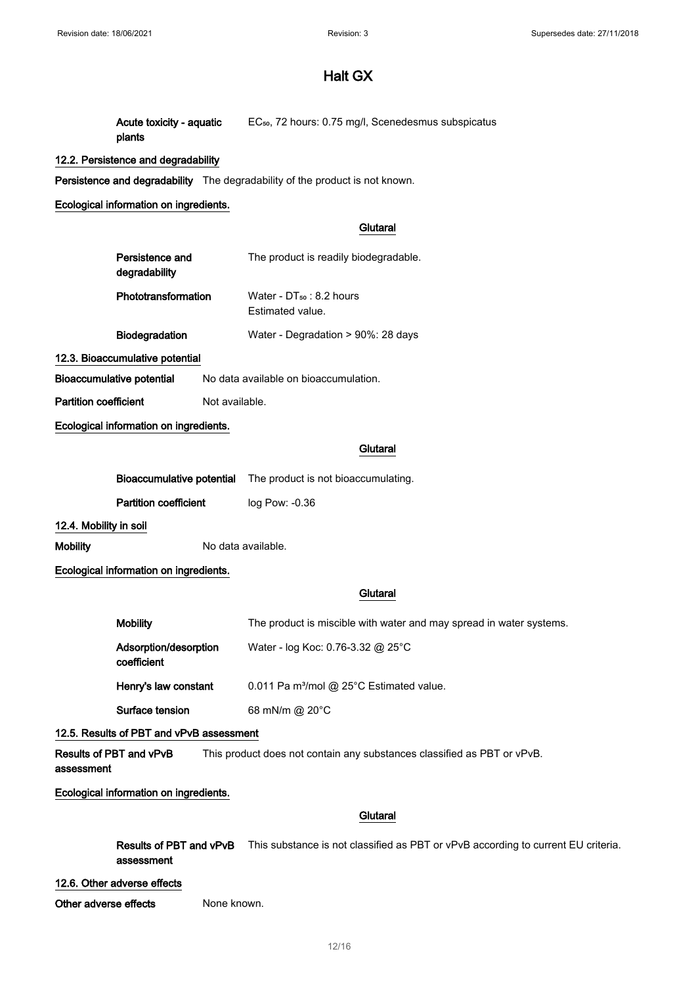Acute toxicity - aquatic plants EC<sub>50</sub>, 72 hours: 0.75 mg/l, Scenedesmus subspicatus

## 12.2. Persistence and degradability

Persistence and degradability The degradability of the product is not known.

## Ecological information on ingredients.

## **Glutaral**

| Persistence and<br>degradability | The product is readily biodegradable.             |
|----------------------------------|---------------------------------------------------|
| Phototransformation              | Water - $DT_{50}$ : 8.2 hours<br>Estimated value. |
| <b>Biodegradation</b>            | Water - Degradation > 90%: 28 days                |
| 12.3. Bioaccumulative potential  |                                                   |

Bioaccumulative potential No data available on bioaccumulation.

Partition coefficient Not available.

## Ecological information on ingredients.

### **Glutaral**

|                                        |                              | <b>Bioaccumulative potential</b> The product is not bioaccumulating. |
|----------------------------------------|------------------------------|----------------------------------------------------------------------|
|                                        | <b>Partition coefficient</b> | $log$ Pow: $-0.36$                                                   |
| 12.4. Mobility in soil                 |                              |                                                                      |
| <b>Mobility</b>                        |                              | No data available.                                                   |
| Ecological information on ingredients. |                              |                                                                      |

## **Glutaral**

| <b>Mobility</b>                      | The product is miscible with water and may spread in water systems. |
|--------------------------------------|---------------------------------------------------------------------|
| Adsorption/desorption<br>coefficient | Water - log Koc: 0.76-3.32 @ 25°C                                   |
| Henry's law constant                 | 0.011 Pa m <sup>3</sup> /mol @ 25°C Estimated value.                |
| Surface tension                      | 68 mN/m @ $20^{\circ}$ C                                            |

## 12.5. Results of PBT and vPvB assessment

Results of PBT and vPvB assessment This product does not contain any substances classified as PBT or vPvB.

## Ecological information on ingredients.

## **Glutaral**

Results of PBT and vPvB This substance is not classified as PBT or vPvB according to current EU criteria. assessment

### 12.6. Other adverse effects

Other adverse effects None known.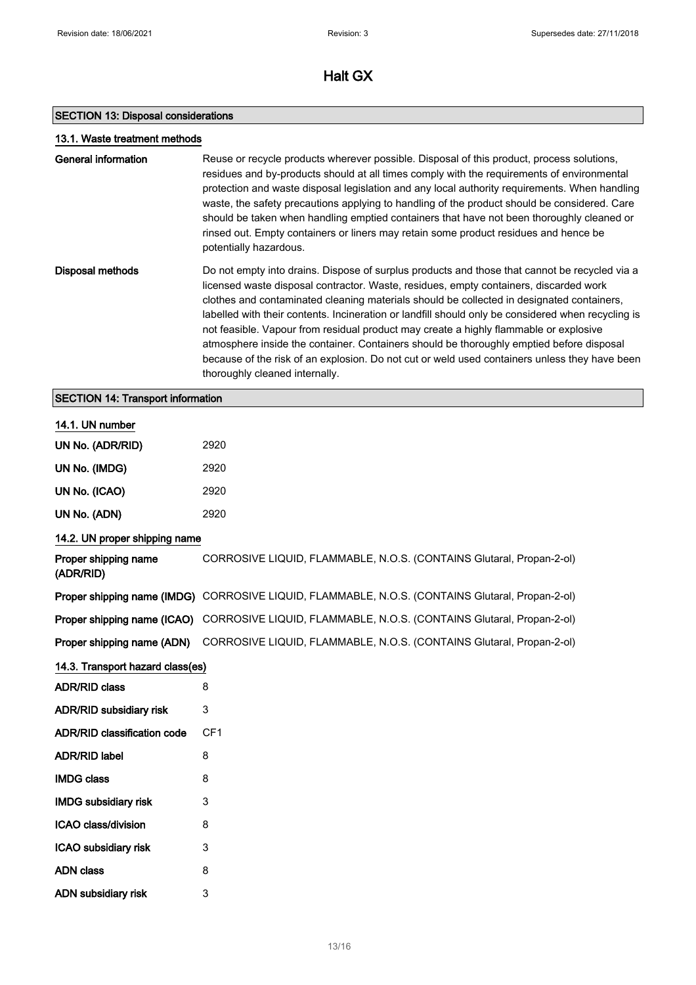## SECTION 13: Disposal considerations

ICAO subsidiary risk 3 ADN class 8 ADN subsidiary risk 3

|                                          | 13.1. Waste treatment methods                                                                                                                                                                                                                                                                                                                                                                                                                                                                                                                                                                                                                                                                                     |  |  |
|------------------------------------------|-------------------------------------------------------------------------------------------------------------------------------------------------------------------------------------------------------------------------------------------------------------------------------------------------------------------------------------------------------------------------------------------------------------------------------------------------------------------------------------------------------------------------------------------------------------------------------------------------------------------------------------------------------------------------------------------------------------------|--|--|
| <b>General information</b>               | Reuse or recycle products wherever possible. Disposal of this product, process solutions,<br>residues and by-products should at all times comply with the requirements of environmental<br>protection and waste disposal legislation and any local authority requirements. When handling<br>waste, the safety precautions applying to handling of the product should be considered. Care<br>should be taken when handling emptied containers that have not been thoroughly cleaned or<br>rinsed out. Empty containers or liners may retain some product residues and hence be<br>potentially hazardous.                                                                                                           |  |  |
| <b>Disposal methods</b>                  | Do not empty into drains. Dispose of surplus products and those that cannot be recycled via a<br>licensed waste disposal contractor. Waste, residues, empty containers, discarded work<br>clothes and contaminated cleaning materials should be collected in designated containers,<br>labelled with their contents. Incineration or landfill should only be considered when recycling is<br>not feasible. Vapour from residual product may create a highly flammable or explosive<br>atmosphere inside the container. Containers should be thoroughly emptied before disposal<br>because of the risk of an explosion. Do not cut or weld used containers unless they have been<br>thoroughly cleaned internally. |  |  |
| <b>SECTION 14: Transport information</b> |                                                                                                                                                                                                                                                                                                                                                                                                                                                                                                                                                                                                                                                                                                                   |  |  |
| 14.1. UN number                          |                                                                                                                                                                                                                                                                                                                                                                                                                                                                                                                                                                                                                                                                                                                   |  |  |
| UN No. (ADR/RID)                         | 2920                                                                                                                                                                                                                                                                                                                                                                                                                                                                                                                                                                                                                                                                                                              |  |  |
| UN No. (IMDG)                            | 2920                                                                                                                                                                                                                                                                                                                                                                                                                                                                                                                                                                                                                                                                                                              |  |  |
| UN No. (ICAO)                            | 2920                                                                                                                                                                                                                                                                                                                                                                                                                                                                                                                                                                                                                                                                                                              |  |  |
| UN No. (ADN)                             | 2920                                                                                                                                                                                                                                                                                                                                                                                                                                                                                                                                                                                                                                                                                                              |  |  |
| 14.2. UN proper shipping name            |                                                                                                                                                                                                                                                                                                                                                                                                                                                                                                                                                                                                                                                                                                                   |  |  |
| Proper shipping name<br>(ADR/RID)        | CORROSIVE LIQUID, FLAMMABLE, N.O.S. (CONTAINS Glutaral, Propan-2-ol)                                                                                                                                                                                                                                                                                                                                                                                                                                                                                                                                                                                                                                              |  |  |
|                                          | Proper shipping name (IMDG) CORROSIVE LIQUID, FLAMMABLE, N.O.S. (CONTAINS Glutaral, Propan-2-ol)                                                                                                                                                                                                                                                                                                                                                                                                                                                                                                                                                                                                                  |  |  |
|                                          | Proper shipping name (ICAO) CORROSIVE LIQUID, FLAMMABLE, N.O.S. (CONTAINS Glutaral, Propan-2-ol)                                                                                                                                                                                                                                                                                                                                                                                                                                                                                                                                                                                                                  |  |  |
| Proper shipping name (ADN)               | CORROSIVE LIQUID, FLAMMABLE, N.O.S. (CONTAINS Glutaral, Propan-2-ol)                                                                                                                                                                                                                                                                                                                                                                                                                                                                                                                                                                                                                                              |  |  |
| 14.3. Transport hazard class(es)         |                                                                                                                                                                                                                                                                                                                                                                                                                                                                                                                                                                                                                                                                                                                   |  |  |
| <b>ADR/RID class</b>                     | 8                                                                                                                                                                                                                                                                                                                                                                                                                                                                                                                                                                                                                                                                                                                 |  |  |
| <b>ADR/RID subsidiary risk</b>           | 3                                                                                                                                                                                                                                                                                                                                                                                                                                                                                                                                                                                                                                                                                                                 |  |  |
| <b>ADR/RID classification code</b>       | CF <sub>1</sub>                                                                                                                                                                                                                                                                                                                                                                                                                                                                                                                                                                                                                                                                                                   |  |  |
| <b>ADR/RID label</b>                     | 8                                                                                                                                                                                                                                                                                                                                                                                                                                                                                                                                                                                                                                                                                                                 |  |  |
| <b>IMDG class</b>                        | 8                                                                                                                                                                                                                                                                                                                                                                                                                                                                                                                                                                                                                                                                                                                 |  |  |
| <b>IMDG subsidiary risk</b>              | 3                                                                                                                                                                                                                                                                                                                                                                                                                                                                                                                                                                                                                                                                                                                 |  |  |
| ICAO class/division                      | 8                                                                                                                                                                                                                                                                                                                                                                                                                                                                                                                                                                                                                                                                                                                 |  |  |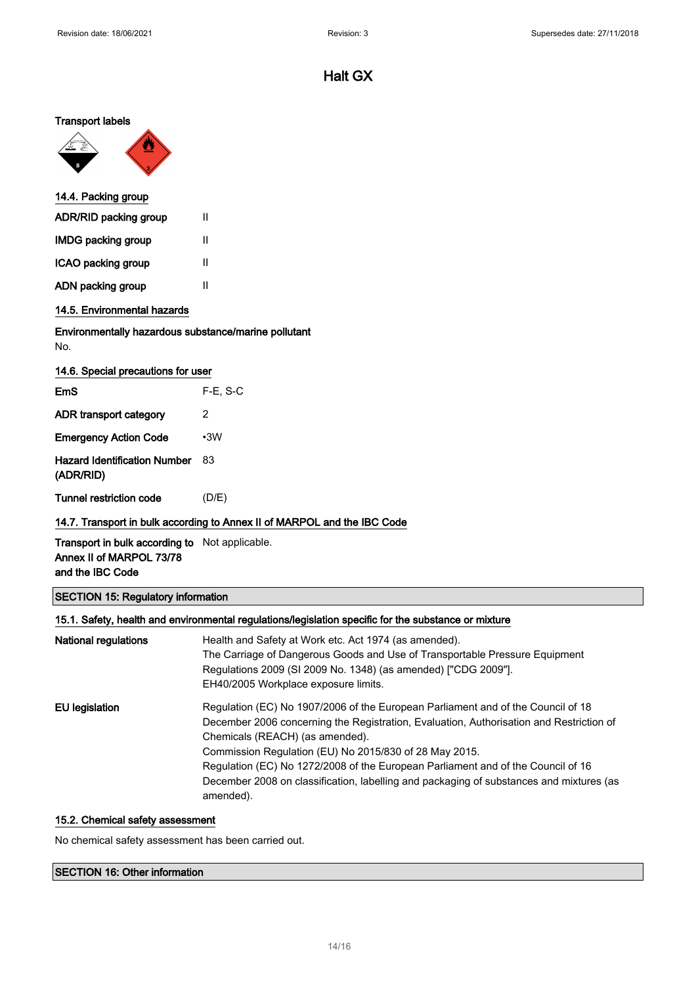## Transport labels



| 14.4. Packing group   |   |
|-----------------------|---|
| ADR/RID packing group | Ш |
| IMDG packing group    | Ш |
| ICAO packing group    | Ш |
| ADN packing group     | Ш |
|                       |   |

## 14.5. Environmental hazards

## Environmentally hazardous substance/marine pollutant No.

| 14.6. Special precautions for user               |             |  |
|--------------------------------------------------|-------------|--|
| EmS                                              | $F-E$ , S-C |  |
| ADR transport category                           | 2           |  |
| <b>Emergency Action Code</b>                     | $\cdot$ 3W  |  |
| <b>Hazard Identification Number</b><br>(ADR/RID) | 83          |  |
| Tunnel restriction code                          | (D/E)       |  |

## 14.7. Transport in bulk according to Annex II of MARPOL and the IBC Code

Transport in bulk according to Not applicable. Annex II of MARPOL 73/78 and the IBC Code

## SECTION 15: Regulatory information

## 15.1. Safety, health and environmental regulations/legislation specific for the substance or mixture

| <b>National regulations</b> | Health and Safety at Work etc. Act 1974 (as amended).<br>The Carriage of Dangerous Goods and Use of Transportable Pressure Equipment<br>Regulations 2009 (SI 2009 No. 1348) (as amended) ["CDG 2009"].<br>EH40/2005 Workplace exposure limits.                                                                                                                                                                                                                       |
|-----------------------------|----------------------------------------------------------------------------------------------------------------------------------------------------------------------------------------------------------------------------------------------------------------------------------------------------------------------------------------------------------------------------------------------------------------------------------------------------------------------|
| EU legislation              | Regulation (EC) No 1907/2006 of the European Parliament and of the Council of 18<br>December 2006 concerning the Registration, Evaluation, Authorisation and Restriction of<br>Chemicals (REACH) (as amended).<br>Commission Regulation (EU) No 2015/830 of 28 May 2015.<br>Regulation (EC) No 1272/2008 of the European Parliament and of the Council of 16<br>December 2008 on classification, labelling and packaging of substances and mixtures (as<br>amended). |

## 15.2. Chemical safety assessment

No chemical safety assessment has been carried out.

## SECTION 16: Other information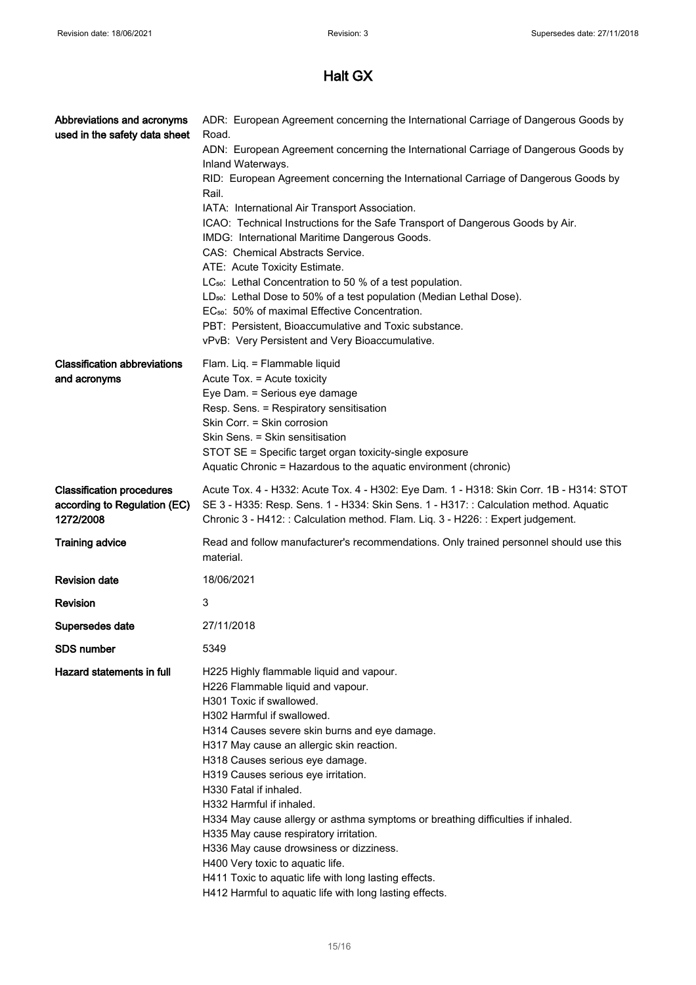| Abbreviations and acronyms<br>used in the safety data sheet                   | ADR: European Agreement concerning the International Carriage of Dangerous Goods by<br>Road.<br>ADN: European Agreement concerning the International Carriage of Dangerous Goods by<br>Inland Waterways.<br>RID: European Agreement concerning the International Carriage of Dangerous Goods by<br>Rail.<br>IATA: International Air Transport Association.<br>ICAO: Technical Instructions for the Safe Transport of Dangerous Goods by Air.<br>IMDG: International Maritime Dangerous Goods.<br>CAS: Chemical Abstracts Service.<br>ATE: Acute Toxicity Estimate.<br>LC <sub>50</sub> : Lethal Concentration to 50 % of a test population.<br>LD <sub>50</sub> : Lethal Dose to 50% of a test population (Median Lethal Dose).<br>EC <sub>50</sub> : 50% of maximal Effective Concentration.<br>PBT: Persistent, Bioaccumulative and Toxic substance.<br>vPvB: Very Persistent and Very Bioaccumulative. |
|-------------------------------------------------------------------------------|-----------------------------------------------------------------------------------------------------------------------------------------------------------------------------------------------------------------------------------------------------------------------------------------------------------------------------------------------------------------------------------------------------------------------------------------------------------------------------------------------------------------------------------------------------------------------------------------------------------------------------------------------------------------------------------------------------------------------------------------------------------------------------------------------------------------------------------------------------------------------------------------------------------|
| <b>Classification abbreviations</b><br>and acronyms                           | Flam. Liq. = Flammable liquid<br>Acute Tox. = Acute toxicity<br>Eye Dam. = Serious eye damage<br>Resp. Sens. = Respiratory sensitisation<br>Skin Corr. = Skin corrosion<br>Skin Sens. = Skin sensitisation<br>STOT SE = Specific target organ toxicity-single exposure<br>Aquatic Chronic = Hazardous to the aquatic environment (chronic)                                                                                                                                                                                                                                                                                                                                                                                                                                                                                                                                                                |
| <b>Classification procedures</b><br>according to Regulation (EC)<br>1272/2008 | Acute Tox. 4 - H332: Acute Tox. 4 - H302: Eye Dam. 1 - H318: Skin Corr. 1B - H314: STOT<br>SE 3 - H335: Resp. Sens. 1 - H334: Skin Sens. 1 - H317: : Calculation method. Aquatic<br>Chronic 3 - H412: : Calculation method. Flam. Liq. 3 - H226: : Expert judgement.                                                                                                                                                                                                                                                                                                                                                                                                                                                                                                                                                                                                                                      |
| <b>Training advice</b>                                                        | Read and follow manufacturer's recommendations. Only trained personnel should use this<br>material.                                                                                                                                                                                                                                                                                                                                                                                                                                                                                                                                                                                                                                                                                                                                                                                                       |
| <b>Revision date</b>                                                          | 18/06/2021                                                                                                                                                                                                                                                                                                                                                                                                                                                                                                                                                                                                                                                                                                                                                                                                                                                                                                |
| <b>Revision</b>                                                               | 3                                                                                                                                                                                                                                                                                                                                                                                                                                                                                                                                                                                                                                                                                                                                                                                                                                                                                                         |
| Supersedes date                                                               | 27/11/2018                                                                                                                                                                                                                                                                                                                                                                                                                                                                                                                                                                                                                                                                                                                                                                                                                                                                                                |
| <b>SDS</b> number                                                             | 5349                                                                                                                                                                                                                                                                                                                                                                                                                                                                                                                                                                                                                                                                                                                                                                                                                                                                                                      |
| Hazard statements in full                                                     | H225 Highly flammable liquid and vapour.<br>H226 Flammable liquid and vapour.<br>H301 Toxic if swallowed.<br>H302 Harmful if swallowed.<br>H314 Causes severe skin burns and eye damage.<br>H317 May cause an allergic skin reaction.<br>H318 Causes serious eye damage.<br>H319 Causes serious eye irritation.<br>H330 Fatal if inhaled.<br>H332 Harmful if inhaled.<br>H334 May cause allergy or asthma symptoms or breathing difficulties if inhaled.<br>H335 May cause respiratory irritation.<br>H336 May cause drowsiness or dizziness.<br>H400 Very toxic to aquatic life.<br>H411 Toxic to aquatic life with long lasting effects.<br>H412 Harmful to aquatic life with long lasting effects.                                                                                                                                                                                                     |